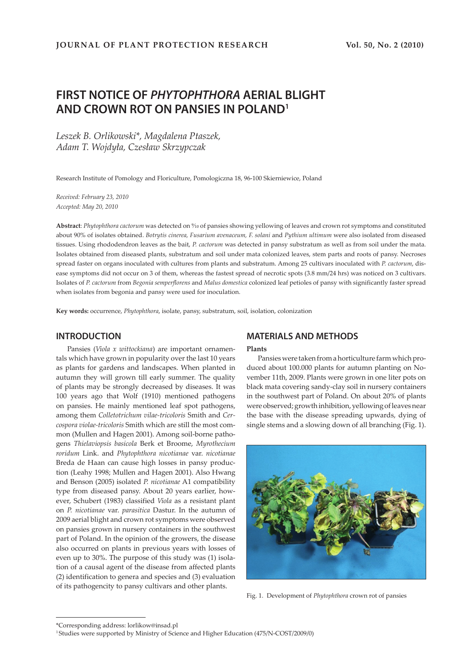# **FIRST NOTICE OF PHYTOPHTHORA AERIAL BLIGHT AND CROWN ROT ON PANSIES IN POLAND1**

*Leszek B. Orlikowski\*, Magdalena Ptaszek, Adam T. Wojdyła, Czesław Skrzypczak* 

Research Institute of Pomology and Floriculture, Pomologiczna 18, 96-100 Skierniewice, Poland

*Received: February 23, 2010 Accepted: May 20, 2010*

Abstract: *Phytophthora cactorum* was detected on *%*<sup>0</sup> of pansies showing yellowing of leaves and crown rot symptoms and constituted about 90% of isolates obtained. *Botrytis cinerea, Fusarium avenaceum, F. solani* and *Pythium ultimum* were also isolated from diseased tissues. Using rhododendron leaves as the bait, *P. cactorum* was detected in pansy substratum as well as from soil under the mata. Isolates obtained from diseased plants, substratum and soil under mata colonized leaves, stem parts and roots of pansy. Necroses spread faster on organs inoculated with cultures from plants and substratum. Among 25 cultivars inoculated with *P. cactorum*, disease symptoms did not occur on 3 of them, whereas the fastest spread of necrotic spots (3.8 mm/24 hrs) was noticed on 3 cultivars. Isolates of *P. cactorum* from *Begonia semperflorens* and *Malus domestica* colonized leaf petioles of pansy with significantly faster spread when isolates from begonia and pansy were used for inoculation.

**Key words:** occurrence, *Phytophthora*, isolate, pansy, substratum, soil, isolation, colonization

# **INTRODUCTION**

Pansies (*Viola x wittockiana*) are important ornamentals which have grown in popularity over the last 10 years as plants for gardens and landscapes. When planted in autumn they will grown till early summer. The quality of plants may be strongly decreased by diseases. It was 100 years ago that Wolf (1910) mentioned pathogens on pansies. He mainly mentioned leaf spot pathogens, among them *Colletotrichum vilae-tricoloris* Smith and *Cercospora violae-tricoloris* Smith which are still the most common (Mullen and Hagen 2001). Among soil-borne pathogens *Thielaviopsis basicola* Berk et Broome, *Myrothecium roridum* Link. and *Phytophthora nicotianae* var. *nicotianae* Breda de Haan can cause high losses in pansy production (Leahy 1998; Mullen and Hagen 2001). Also Hwang and Benson (2005) isolated *P. nicotianae* A1 compatibility type from diseased pansy. About 20 years earlier, however, Schubert (1983) classified *Viola* as a resistant plant on *P. nicotianae* var. *parasitica* Dastur. In the autumn of 2009 aerial blight and crown rot symptoms were observed on pansies grown in nursery containers in the southwest part of Poland. In the opinion of the growers, the disease also occurred on plants in previous years with losses of even up to 30%. The purpose of this study was (1) isolation of a causal agent of the disease from affected plants (2) identification to genera and species and (3) evaluation of its pathogencity to pansy cultivars and other plants.

# **MATERIALS AND METHODS**

## **Plants**

Pansies were taken from a horticulture farm which produced about 100.000 plants for autumn planting on November 11th, 2009. Plants were grown in one liter pots on black mata covering sandy-clay soil in nursery containers in the southwest part of Poland. On about 20% of plants were observed; growth inhibition, yellowing of leaves near the base with the disease spreading upwards, dying of single stems and a slowing down of all branching (Fig. 1).



Fig. 1. Development of *Phytophthora* crown rot of pansies

<sup>\*</sup>Corresponding address: lorlikow@insad.pl

<sup>1</sup> Studies were supported by Ministry of Science and Higher Education (475/N-COST/2009/0)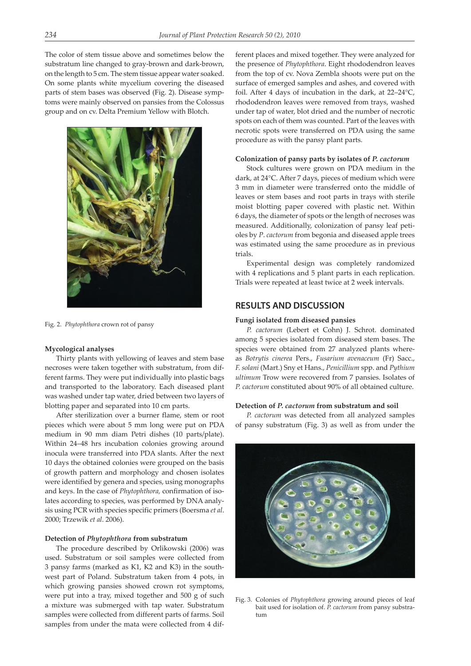The color of stem tissue above and sometimes below the substratum line changed to gray-brown and dark-brown, on the length to 5 cm. The stem tissue appear water soaked. On some plants white mycelium covering the diseased parts of stem bases was observed (Fig. 2). Disease symptoms were mainly observed on pansies from the Colossus group and on cv. Delta Premium Yellow with Blotch.



Fig. 2. *Phytophthora* crown rot of pansy

#### **Mycological analyses**

Thirty plants with yellowing of leaves and stem base necroses were taken together with substratum, from different farms. They were put individually into plastic bags and transported to the laboratory. Each diseased plant was washed under tap water, dried between two layers of blotting paper and separated into 10 cm parts.

After sterilization over a burner flame, stem or root pieces which were about 5 mm long were put on PDA medium in 90 mm diam Petri dishes (10 parts/plate). Within 24–48 hrs incubation colonies growing around inocula were transferred into PDA slants. After the next 10 days the obtained colonies were grouped on the basis of growth pattern and morphology and chosen isolates were identified by genera and species, using monographs and keys. In the case of *Phytophthora,* confirmation of isolates according to species, was performed by DNA analysis using PCR with species specific primers (Boersma *et al*. 2000; Trzewik *et al*. 2006).

#### **Detection of** *Phytophthora* **from substratum**

The procedure described by Orlikowski (2006) was used. Substratum or soil samples were collected from 3 pansy farms (marked as K1, K2 and K3) in the southwest part of Poland. Substratum taken from 4 pots, in which growing pansies showed crown rot symptoms, were put into a tray, mixed together and 500 g of such a mixture was submerged with tap water. Substratum samples were collected from different parts of farms. Soil samples from under the mata were collected from 4 different places and mixed together. They were analyzed for the presence of *Phytophthora*. Eight rhododendron leaves from the top of cv. Nova Zembla shoots were put on the surface of emerged samples and ashes, and covered with foil. After 4 days of incubation in the dark, at 22–24°C, rhododendron leaves were removed from trays, washed under tap of water, blot dried and the number of necrotic spots on each of them was counted. Part of the leaves with necrotic spots were transferred on PDA using the same procedure as with the pansy plant parts.

#### **Colonization of pansy parts by isolates of** *P. cactorum*

Stock cultures were grown on PDA medium in the dark, at 24°C. After 7 days, pieces of medium which were 3 mm in diameter were transferred onto the middle of leaves or stem bases and root parts in trays with sterile moist blotting paper covered with plastic net. Within 6 days, the diameter of spots or the length of necroses was measured. Additionally, colonization of pansy leaf petioles by *P*. *cactorum* from begonia and diseased apple trees was estimated using the same procedure as in previous trials.

Experimental design was completely randomized with 4 replications and 5 plant parts in each replication. Trials were repeated at least twice at 2 week intervals.

## **RESULTS AND DISCUSSION**

#### **Fungi isolated from diseased pansies**

*P. cactorum* (Lebert et Cohn) J. Schrot. dominated among 5 species isolated from diseased stem bases. The species were obtained from 27 analyzed plants whereas *Botrytis cinerea* Pers., *Fusarium avenaceum* (Fr) Sacc., *F. solani* (Mart.) Sny et Hans., *Penicillium* spp. and *Pythium ultimum* Trow were recovered from 7 pansies. Isolates of *P. cactorum* constituted about 90% of all obtained culture.

#### **Detection of** *P. cactorum* **from substratum and soil**

*P. cactorum* was detected from all analyzed samples of pansy substratum (Fig. 3) as well as from under the



Fig. 3. Colonies of *Phytophthora* growing around pieces of leaf bait used for isolation of. *P. cactorum* from pansy substratum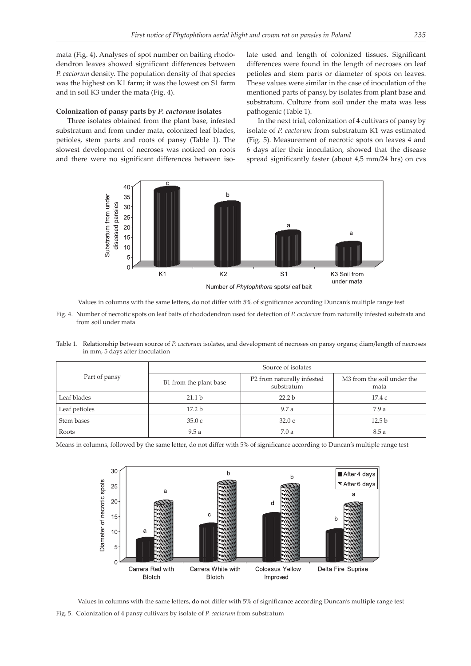mata (Fig. 4). Analyses of spot number on baiting rhododendron leaves showed significant differences between *P. cactorum* density. The population density of that species was the highest on K1 farm; it was the lowest on S1 farm and in soil K3 under the mata (Fig. 4).

#### **Colonization of pansy parts by** *P. cactorum* **isolates**

Three isolates obtained from the plant base, infested substratum and from under mata, colonized leaf blades, petioles, stem parts and roots of pansy (Table 1). The slowest development of necroses was noticed on roots and there were no significant differences between isolate used and length of colonized tissues. Significant differences were found in the length of necroses on leaf petioles and stem parts or diameter of spots on leaves. These values were similar in the case of inoculation of the mentioned parts of pansy, by isolates from plant base and substratum. Culture from soil under the mata was less pathogenic (Table 1).

In the next trial, colonization of 4 cultivars of pansy by isolate of *P. cactorum* from substratum K1 was estimated (Fig. 5). Measurement of necrotic spots on leaves 4 and 6 days after their inoculation, showed that the disease spread significantly faster (about 4,5 mm/24 hrs) on cvs



Values in columns with the same letters, do not differ with 5% of significance according Duncan's multiple range test

- Fig. 4. Number of necrotic spots on leaf baits of rhododendron used for detection of *P. cactorum* from naturally infested substrata and from soil under mata
- Table 1. Relationship between source of *P. cactorum* isolates, and development of necroses on pansy organs; diam/length of necroses in mm, 5 days after inoculation

|               | Source of isolates     |                                          |                                                |  |  |
|---------------|------------------------|------------------------------------------|------------------------------------------------|--|--|
| Part of pansy | B1 from the plant base | P2 from naturally infested<br>substratum | M <sub>3</sub> from the soil under the<br>mata |  |  |
| Leaf blades   | 21.1 <sub>b</sub>      | 22.2 <sub>b</sub>                        | 17.4 c                                         |  |  |
| Leaf petioles | 17.2 <sub>b</sub>      | 9.7a                                     | 7.9a                                           |  |  |
| Stem bases    | 35.0c                  | 32.0c                                    | 12.5 <sub>b</sub>                              |  |  |
| Roots         | 9.5a                   | 7.0a                                     | 8.5a                                           |  |  |

Means in columns, followed by the same letter, do not differ with 5% of significance according to Duncan's multiple range test



Values in columns with the same letters, do not differ with 5% of significance according Duncan's multiple range test Fig. 5. Colonization of 4 pansy cultivars by isolate of *P. cactorum* from substratum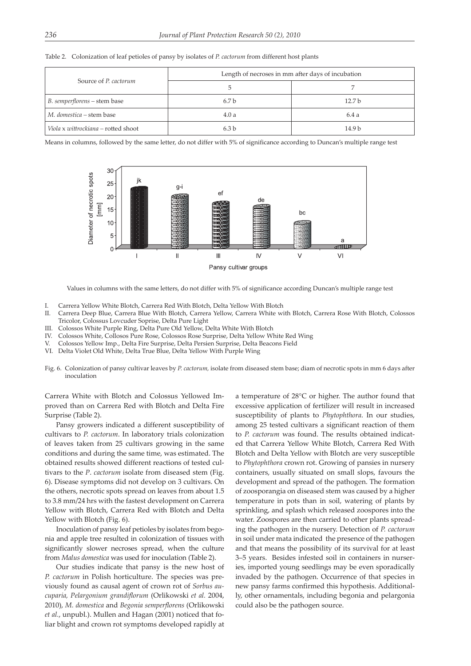|  | Table 2. Colonization of leaf petioles of pansy by isolates of P. cactorum from different host plants |  |  |  |  |  |  |  |  |  |
|--|-------------------------------------------------------------------------------------------------------|--|--|--|--|--|--|--|--|--|
|--|-------------------------------------------------------------------------------------------------------|--|--|--|--|--|--|--|--|--|

| Source of P. cactorum               | Length of necroses in mm after days of incubation |                   |  |  |  |
|-------------------------------------|---------------------------------------------------|-------------------|--|--|--|
|                                     |                                                   |                   |  |  |  |
| B. semperflorens – stem base        | 6.7 b                                             | 12.7 <sub>b</sub> |  |  |  |
| M. domestica – stem base            | 4.0a                                              | 6.4 a             |  |  |  |
| Viola x wittrockiana – rotted shoot | 63 h                                              | 14.9 <sub>b</sub> |  |  |  |

Means in columns, followed by the same letter, do not differ with 5% of significance according to Duncan's multiple range test



Values in columns with the same letters, do not differ with 5% of significance according Duncan's multiple range test

- I. Carrera Yellow White Blotch, Carrera Red With Blotch, Delta Yellow With Blotch
- II. Carrera Deep Blue, Carrera Blue With Blotch, Carrera Yellow, Carrera White with Blotch, Carrera Rose With Blotch, Colossos Tricolor, Colossus Lovcuder Soprise, Delta Pure Light
- III. Colossos White Purple Ring, Delta Pure Old Yellow, Delta White With Blotch
- IV. Colossos White, Collosos Pure Rose, Colossos Rose Surprise, Delta Yellow White Red Wing
- V. Colossos Yellow Imp., Delta Fire Surprise, Delta Persien Surprise, Delta Beacons Field
- VI. Delta Violet Old White, Delta True Blue, Delta Yellow With Purple Wing
- Fig. 6. Colonization of pansy cultivar leaves by *P. cactorum,* isolate from diseased stem base; diam of necrotic spots in mm 6 days after inoculation

Carrera White with Blotch and Colossus Yellowed Improved than on Carrera Red with Blotch and Delta Fire Surprise (Table 2).

Pansy growers indicated a different susceptibility of cultivars to *P. cactorum*. In laboratory trials colonization of leaves taken from 25 cultivars growing in the same conditions and during the same time, was estimated. The obtained results showed different reactions of tested cultivars to the *P*. *cactorum* isolate from diseased stem (Fig. 6). Disease symptoms did not develop on 3 cultivars. On the others, necrotic spots spread on leaves from about 1.5 to 3.8 mm/24 hrs with the fastest development on Carrera Yellow with Blotch, Carrera Red with Blotch and Delta Yellow with Blotch (Fig. 6).

Inoculation of pansy leaf petioles by isolates from begonia and apple tree resulted in colonization of tissues with significantly slower necroses spread, when the culture from *Malus domestica* was used for inoculation (Table 2).

Our studies indicate that pansy is the new host of *P. cactorum* in Polish horticulture. The species was previously found as causal agent of crown rot of *Sorbus aucuparia, Pelargonium grandiflorum* (Orlikowski *et al.* 2004, 2010), *M. domestica* and *Begonia semperflorens* (Orlikowski *et al.*, unpubl.). Mullen and Hagan (2001) noticed that foliar blight and crown rot symptoms developed rapidly at

a temperature of 28°C or higher. The author found that excessive application of fertilizer will result in increased susceptibility of plants to *Phytophthora*. In our studies, among 25 tested cultivars a significant reaction of them to *P. cactorum* was found. The results obtained indicated that Carrera Yellow White Blotch, Carrera Red With Blotch and Delta Yellow with Blotch are very susceptible to *Phytophthora* crown rot. Growing of pansies in nursery containers, usually situated on small slops, favours the development and spread of the pathogen. The formation of zoosporangia on diseased stem was caused by a higher temperature in pots than in soil, watering of plants by sprinkling, and splash which released zoospores into the water. Zoospores are then carried to other plants spreading the pathogen in the nursery. Detection of *P. cactorum* in soil under mata indicated the presence of the pathogen and that means the possibility of its survival for at least 3–5 years. Besides infested soil in containers in nurseries, imported young seedlings may be even sporadically invaded by the pathogen. Occurrence of that species in new pansy farms confirmed this hypothesis. Additionally, other ornamentals, including begonia and pelargonia could also be the pathogen source.